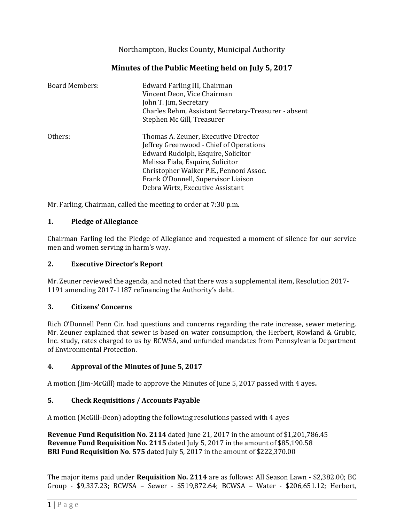# Northampton, Bucks County, Municipal Authority

# **Minutes of the Public Meeting held on July 5, 2017**

| <b>Board Members:</b> | Edward Farling III, Chairman<br>Vincent Deon, Vice Chairman<br>John T. Jim, Secretary<br>Charles Rehm, Assistant Secretary-Treasurer - absent<br>Stephen Mc Gill, Treasurer |
|-----------------------|-----------------------------------------------------------------------------------------------------------------------------------------------------------------------------|
| Others:               | Thomas A. Zeuner, Executive Director<br>Jeffrey Greenwood - Chief of Operations<br>Edward Rudolph, Esquire, Solicitor<br>Melissa Fiala, Esquire, Solicitor                  |
|                       | Christopher Walker P.E., Pennoni Assoc.<br>Frank O'Donnell, Supervisor Liaison<br>Debra Wirtz, Executive Assistant                                                          |

Mr. Farling, Chairman, called the meeting to order at 7:30 p.m.

#### **1. Pledge of Allegiance**

Chairman Farling led the Pledge of Allegiance and requested a moment of silence for our service men and women serving in harm's way.

#### **2. Executive Director's Report**

Mr. Zeuner reviewed the agenda, and noted that there was a supplemental item, Resolution 2017- 1191 amending 2017-1187 refinancing the Authority's debt.

#### **3. Citizens' Concerns**

Rich O'Donnell Penn Cir. had questions and concerns regarding the rate increase, sewer metering. Mr. Zeuner explained that sewer is based on water consumption, the Herbert, Rowland & Grubic, Inc. study, rates charged to us by BCWSA, and unfunded mandates from Pennsylvania Department of Environmental Protection.

### **4. Approval of the Minutes of June 5, 2017**

A motion (Jim-McGill) made to approve the Minutes of June 5, 2017 passed with 4 ayes**.**

### **5. Check Requisitions / Accounts Payable**

A motion (McGill-Deon) adopting the following resolutions passed with 4 ayes

**Revenue Fund Requisition No. 2114** dated June 21, 2017 in the amount of \$1,201,786.45 **Revenue Fund Requisition No. 2115** dated July 5, 2017 in the amount of \$85,190.58 **BRI Fund Requisition No. 575** dated July 5, 2017 in the amount of \$222,370.00

The major items paid under **Requisition No. 2114** are as follows: All Season Lawn - \$2,382.00; BC Group - \$9,337.23; BCWSA – Sewer - \$519,872.64; BCWSA – Water - \$206,651.12; Herbert,